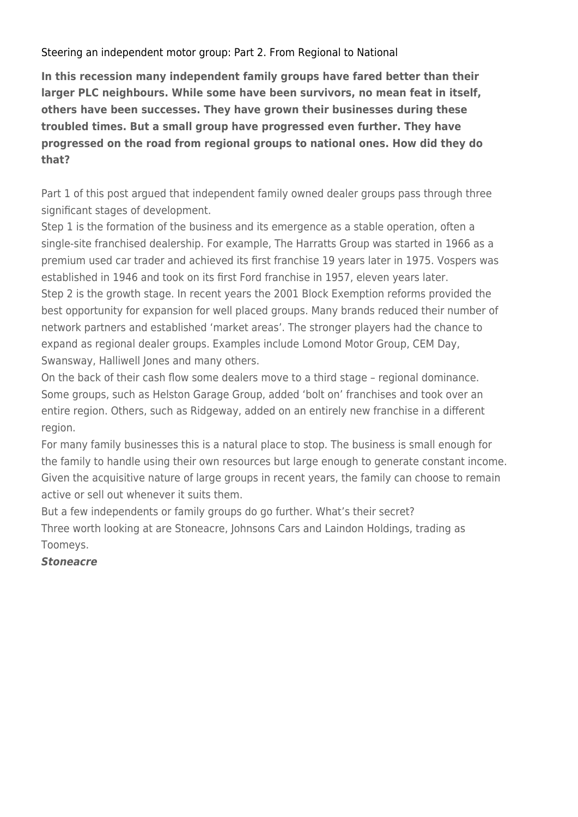[Steering an independent motor group: Part 2. From Regional to National](https://lga-consultants.com/steering-an-independent-motor-group-part-2-from-regional-to-national/)

**In this recession many independent family groups have fared better than their larger PLC neighbours. While some have been survivors, no mean feat in itself, others have been successes. They have grown their businesses during these troubled times. But a small group have progressed even further. They have progressed on the road from regional groups to national ones. How did they do that?**

Part 1 of this post argued that independent family owned dealer groups pass through three significant stages of development.

Step 1 is the formation of the business and its emergence as a stable operation, often a single-site franchised dealership. For example, The Harratts Group was started in 1966 as a premium used car trader and achieved its first franchise 19 years later in 1975. Vospers was established in 1946 and took on its first Ford franchise in 1957, eleven years later. Step 2 is the growth stage. In recent years the 2001 Block Exemption reforms provided the best opportunity for expansion for well placed groups. Many brands reduced their number of network partners and established 'market areas'. The stronger players had the chance to expand as regional dealer groups. Examples include Lomond Motor Group, CEM Day, Swansway, Halliwell Jones and many others.

On the back of their cash flow some dealers move to a third stage – regional dominance. Some groups, such as Helston Garage Group, added 'bolt on' franchises and took over an entire region. Others, such as Ridgeway, added on an entirely new franchise in a different region.

For many family businesses this is a natural place to stop. The business is small enough for the family to handle using their own resources but large enough to generate constant income. Given the acquisitive nature of large groups in recent years, the family can choose to remain active or sell out whenever it suits them.

But a few independents or family groups do go further. What's their secret? Three worth looking at are Stoneacre, Johnsons Cars and Laindon Holdings, trading as Toomeys.

### *Stoneacre*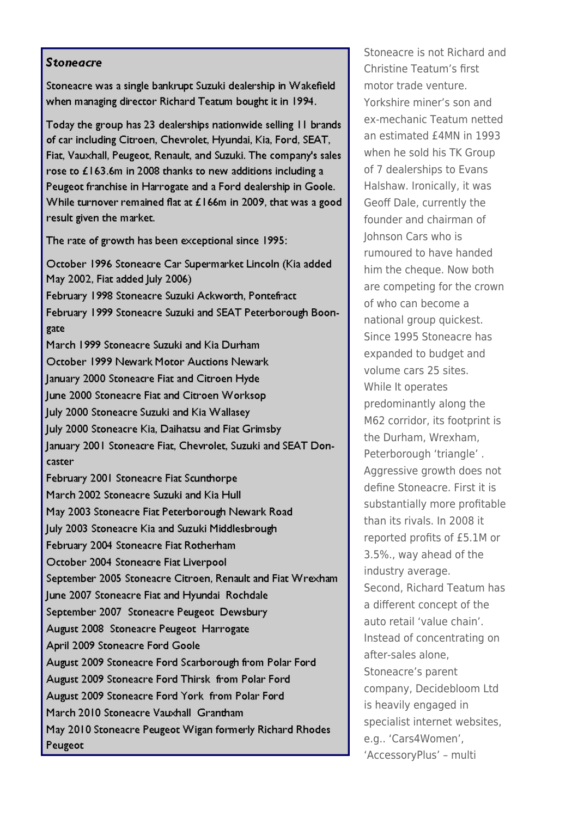#### **Stoneacre**

Stoneacre was a single bankrupt Suzuki dealership in Wakefield when managing director Richard Teatum bought it in 1994.

Today the group has 23 dealerships nationwide selling 11 brands of car including Citroen, Chevrolet, Hyundai, Kia, Ford, SEAT, Fiat, Vauxhall, Peugeot, Renault, and Suzuki. The company's sales rose to £163.6m in 2008 thanks to new additions including a Peugeot franchise in Harrogate and a Ford dealership in Goole. While turnover remained flat at £166m in 2009, that was a good result given the market.

The rate of growth has been exceptional since 1995:

October 1996 Stoneacre Car Supermarket Lincoln (Kia added May 2002, Fiat added July 2006)

February 1998 Stoneacre Suzuki Ackworth, Pontefract February 1999 Stoneacre Suzuki and SEAT Peterborough Boongate

March 1999 Stoneacre Suzuki and Kia Durham October 1999 Newark Motor Auctions Newark January 2000 Stoneacre Fiat and Citroen Hyde June 2000 Stoneacre Fiat and Citroen Worksop July 2000 Stoneacre Suzuki and Kia Wallasey July 2000 Stoneacre Kia, Daihatsu and Fiat Grimsby January 2001 Stoneacre Fiat, Chevrolet, Suzuki and SEAT Doncaster

February 2001 Stoneacre Fiat Scunthorpe March 2002 Stoneacre Suzuki and Kia Hull May 2003 Stoneacre Fiat Peterborough Newark Road July 2003 Stoneacre Kia and Suzuki Middlesbrough February 2004 Stoneacre Fiat Rotherham October 2004 Stoneacre Fiat Liverpool September 2005 Stoneacre Citroen, Renault and Fiat Wrexham June 2007 Stoneacre Fiat and Hyundai Rochdale September 2007 Stoneacre Peugeot Dewsbury August 2008 Stoneacre Peugeot Harrogate April 2009 Stoneacre Ford Goole August 2009 Stoneacre Ford Scarborough from Polar Ford August 2009 Stoneacre Ford Thirsk from Polar Ford August 2009 Stoneacre Ford York from Polar Ford March 2010 Stoneacre Vauxhall Grantham May 2010 Stoneacre Peugeot Wigan formerly Richard Rhodes Peugeot

Stoneacre is not Richard and Christine Teatum's first motor trade venture. Yorkshire miner's son and ex-mechanic Teatum netted an estimated £4MN in 1993 when he sold his TK Group of 7 dealerships to Evans Halshaw. Ironically, it was Geoff Dale, currently the founder and chairman of Johnson Cars who is rumoured to have handed him the cheque. Now both are competing for the crown of who can become a national group quickest. Since 1995 Stoneacre has expanded to budget and volume cars 25 sites. While It operates predominantly along the M62 corridor, its footprint is the Durham, Wrexham, Peterborough 'triangle', Aggressive growth does not define Stoneacre. First it is substantially more profitable than its rivals In 2008 it reported profits of £5.1M or 3.5%., way ahead of the industry average. Second, Richard Teatum has a different concept of the auto retail 'value chain'. Instead of concentrating on after-sales alone. Stoneacre's parent company, Decidebloom Ltd is heavily engaged in specialist internet websites, e.g.. 'Cars4Women', 'AccessoryPlus' - multi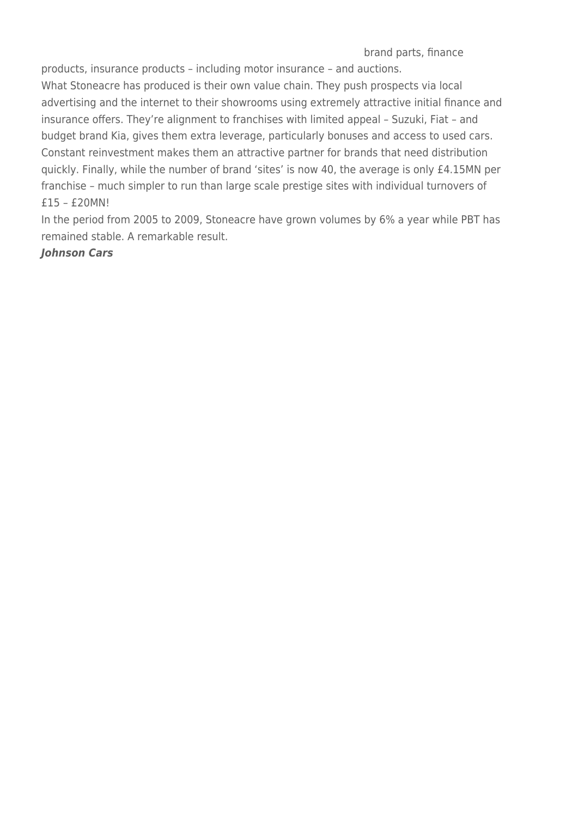brand parts, finance

products, insurance products – including motor insurance – and auctions.

What Stoneacre has produced is their own value chain. They push prospects via local advertising and the internet to their showrooms using extremely attractive initial finance and insurance offers. They're alignment to franchises with limited appeal – Suzuki, Fiat – and budget brand Kia, gives them extra leverage, particularly bonuses and access to used cars. Constant reinvestment makes them an attractive partner for brands that need distribution quickly. Finally, while the number of brand 'sites' is now 40, the average is only £4.15MN per franchise – much simpler to run than large scale prestige sites with individual turnovers of £15 – £20MN!

In the period from 2005 to 2009, Stoneacre have grown volumes by 6% a year while PBT has remained stable. A remarkable result.

### *Johnson Cars*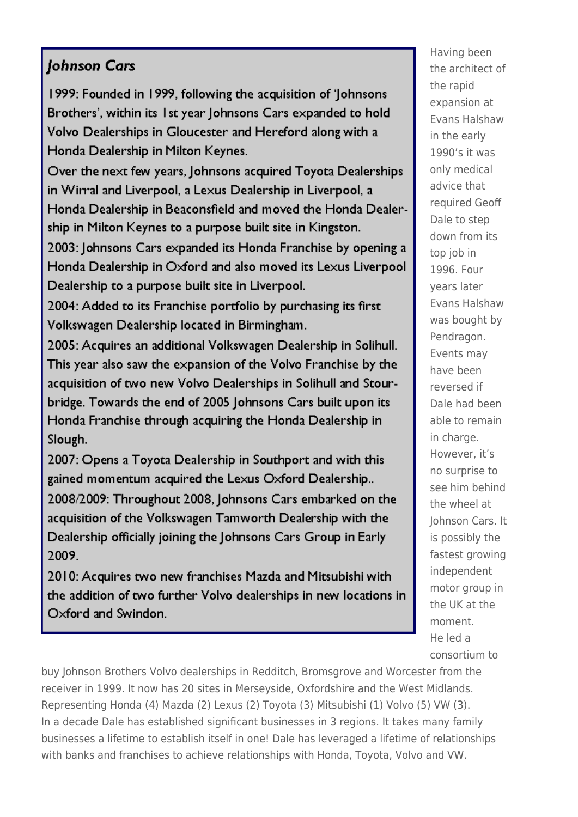# Johnson Cars

1999: Founded in 1999, following the acquisition of 'lohnsons' Brothers', within its 1st year Johnsons Cars expanded to hold Volvo Dealerships in Gloucester and Hereford along with a Honda Dealership in Milton Keynes.

Over the next few years, Johnsons acquired Toyota Dealerships in Wirral and Liverpool, a Lexus Dealership in Liverpool, a Honda Dealership in Beaconsfield and moved the Honda Dealership in Milton Keynes to a purpose built site in Kingston.

2003: Johnsons Cars expanded its Honda Franchise by opening a Honda Dealership in Oxford and also moved its Lexus Liverpool Dealership to a purpose built site in Liverpool.

2004: Added to its Franchise portfolio by purchasing its first Volkswagen Dealership located in Birmingham.

2005: Acquires an additional Volkswagen Dealership in Solihull. This year also saw the expansion of the Volvo Franchise by the acquisition of two new Volvo Dealerships in Solihull and Stourbridge. Towards the end of 2005 Johnsons Cars built upon its Honda Franchise through acquiring the Honda Dealership in Slough.

2007: Opens a Toyota Dealership in Southport and with this gained momentum acquired the Lexus Oxford Dealership... 2008/2009: Throughout 2008, Johnsons Cars embarked on the acquisition of the Volkswagen Tamworth Dealership with the Dealership officially joining the Johnsons Cars Group in Early 2009.

2010: Acquires two new franchises Mazda and Mitsubishi with the addition of two further Volvo dealerships in new locations in Oxford and Swindon.

Having been the architect of the rapid expansion at Evans Halshaw in the early 1990's it was only medical advice that required Geoff Dale to step down from its top job in 1996. Four vears later Evans Halshaw was bought by Pendragon. Events may have heen reversed if Dale had been able to remain in charge. However, it's no surprise to see him behind the wheel at Johnson Cars. It is possibly the fastest growing independent motor group in the UK at the moment. He led a consortium to

buy Johnson Brothers Volvo dealerships in Redditch, Bromsgrove and Worcester from the receiver in 1999. It now has 20 sites in Merseyside, Oxfordshire and the West Midlands. Representing Honda (4) Mazda (2) Lexus (2) Toyota (3) Mitsubishi (1) Volvo (5) VW (3). In a decade Dale has established significant businesses in 3 regions. It takes many family businesses a lifetime to establish itself in one! Dale has leveraged a lifetime of relationships with banks and franchises to achieve relationships with Honda, Toyota, Volvo and VW.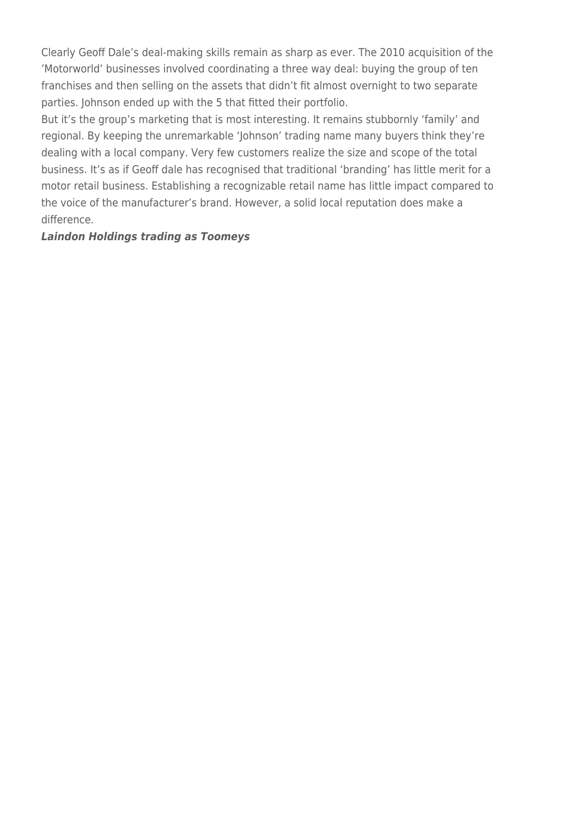Clearly Geoff Dale's deal-making skills remain as sharp as ever. The 2010 acquisition of the 'Motorworld' businesses involved coordinating a three way deal: buying the group of ten franchises and then selling on the assets that didn't fit almost overnight to two separate parties. Johnson ended up with the 5 that fitted their portfolio.

But it's the group's marketing that is most interesting. It remains stubbornly 'family' and regional. By keeping the unremarkable 'Johnson' trading name many buyers think they're dealing with a local company. Very few customers realize the size and scope of the total business. It's as if Geoff dale has recognised that traditional 'branding' has little merit for a motor retail business. Establishing a recognizable retail name has little impact compared to the voice of the manufacturer's brand. However, a solid local reputation does make a difference.

# *Laindon Holdings trading as Toomeys*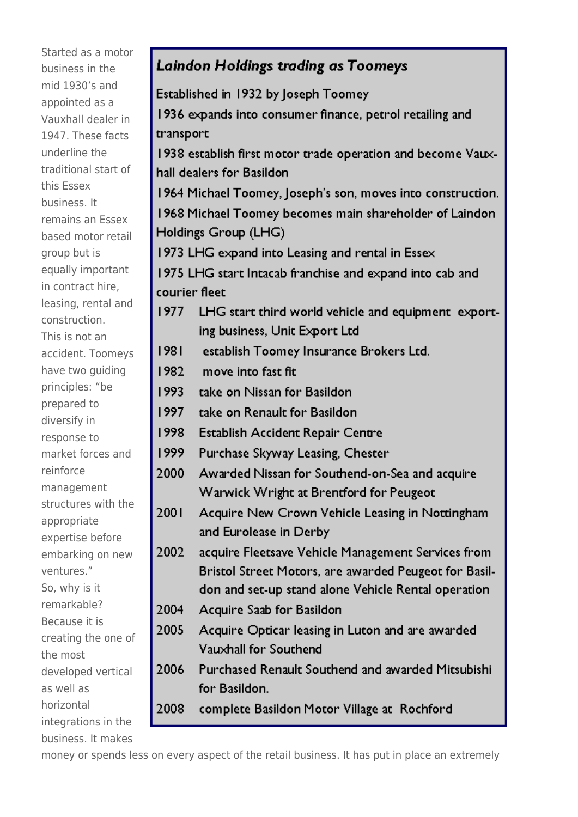Started as a motor business in the mid 1930's and appointed as a Vauxhall dealer in 1947. These facts underline the traditional start of this Essex business. It remains an Essex based motor retail group but is equally important in contract hire, leasing, rental and construction. This is not an accident. Toomeys have two guiding principles: "be prepared to diversify in response to market forces and reinforce management structures with the appropriate expertise before embarking on new ventures." So, why is it remarkable? Because it is creating the one of the most developed vertical as well as horizontal integrations in the business. It makes

## **Laindon Holdings trading as Toomeys** Established in 1932 by Joseph Toomey 1936 expands into consumer finance, petrol retailing and transport 1938 establish first motor trade operation and become Vauxhall dealers for Basildon 1964 Michael Toomey, Joseph's son, moves into construction. 1968 Michael Toomey becomes main shareholder of Laindon Holdings Group (LHG) 1973 LHG expand into Leasing and rental in Essex 1975 LHG start Intacab franchise and expand into cab and courier fleet 1977 LHG start third world vehicle and equipment exporting business, Unit Export Ltd 1981 establish Toomey Insurance Brokers Ltd. 1982 move into fast fit. 1993 take on Nissan for Basildon 1997 take on Renault for Basildon 1998 Establish Accident Repair Centre 1999 Purchase Skyway Leasing, Chester 2000 Awarded Nissan for Southend-on-Sea and acquire Warwick Wright at Brentford for Peugeot 2001 Acquire New Crown Vehicle Leasing in Nottingham and Eurolease in Derby 2002 acquire Fleetsave Vehicle Management Services from Bristol Street Motors, are awarded Peugeot for Basildon and set-up stand alone Vehicle Rental operation 2004 Acquire Saab for Basildon 2005 Acquire Opticar leasing in Luton and are awarded Vauxhall for Southend Purchased Renault Southend and awarded Mitsubishi 2006 for Basildon. 2008 complete Basildon Motor Village at Rochford

money or spends less on every aspect of the retail business. It has put in place an extremely